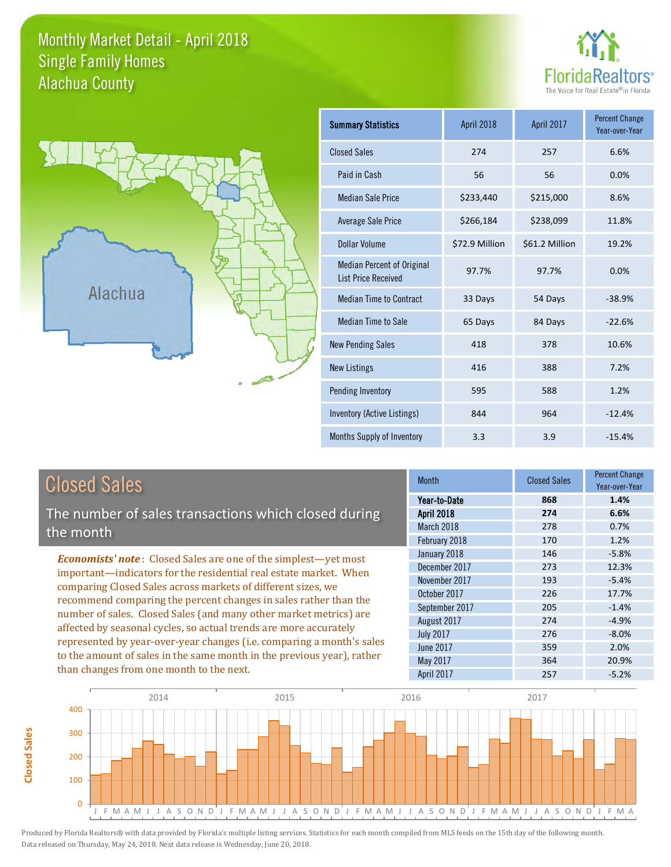#### Monthly Market Detail - April 2018 Alachua County Single Family Homes





| <b>Summary Statistics</b>                                       | April 2018     | April 2017     | <b>Percent Change</b><br>Year-over-Year |
|-----------------------------------------------------------------|----------------|----------------|-----------------------------------------|
| <b>Closed Sales</b>                                             | 274            | 257            | 6.6%                                    |
| Paid in Cash                                                    | 56             | 56             | 0.0%                                    |
| <b>Median Sale Price</b>                                        | \$233,440      | \$215,000      | 8.6%                                    |
| <b>Average Sale Price</b>                                       | \$266,184      | \$238,099      | 11.8%                                   |
| Dollar Volume                                                   | \$72.9 Million | \$61.2 Million | 19.2%                                   |
| <b>Median Percent of Original</b><br><b>List Price Received</b> | 97.7%          | 97.7%          | 0.0%                                    |
| <b>Median Time to Contract</b>                                  | 33 Days        | 54 Days        | $-38.9%$                                |
| <b>Median Time to Sale</b>                                      | 65 Days        | 84 Days        | $-22.6%$                                |
| <b>New Pending Sales</b>                                        | 418            | 378            | 10.6%                                   |
| <b>New Listings</b>                                             | 416            | 388            | 7.2%                                    |
| Pending Inventory                                               | 595            | 588            | 1.2%                                    |
| Inventory (Active Listings)                                     | 844            | 964            | $-12.4%$                                |
| Months Supply of Inventory                                      | 3.3            | 3.9            | $-15.4%$                                |

The number of sales transactions which closed during the month

*Economists' note* : Closed Sales are one of the simplest—yet most important—indicators for the residential real estate market. When comparing Closed Sales across markets of different sizes, we recommend comparing the percent changes in sales rather than the number of sales. Closed Sales (and many other market metrics) are affected by seasonal cycles, so actual trends are more accurately represented by year-over-year changes (i.e. comparing a month's sales to the amount of sales in the same month in the previous year), rather than changes from one month to the next.

| Month             | <b>Closed Sales</b> | <b>Percent Change</b><br>Year-over-Year |
|-------------------|---------------------|-----------------------------------------|
| Year-to-Date      | 868                 | 1.4%                                    |
| <b>April 2018</b> | 274                 | 6.6%                                    |
| March 2018        | 278                 | 0.7%                                    |
| February 2018     | 170                 | 1.2%                                    |
| January 2018      | 146                 | $-5.8%$                                 |
| December 2017     | 273                 | 12.3%                                   |
| November 2017     | 193                 | $-5.4%$                                 |
| October 2017      | 226                 | 17.7%                                   |
| September 2017    | 205                 | $-1.4%$                                 |
| August 2017       | 274                 | $-4.9%$                                 |
| <b>July 2017</b>  | 276                 | $-8.0%$                                 |
| <b>June 2017</b>  | 359                 | 2.0%                                    |
| May 2017          | 364                 | 20.9%                                   |
| April 2017        | 257                 | $-5.2%$                                 |

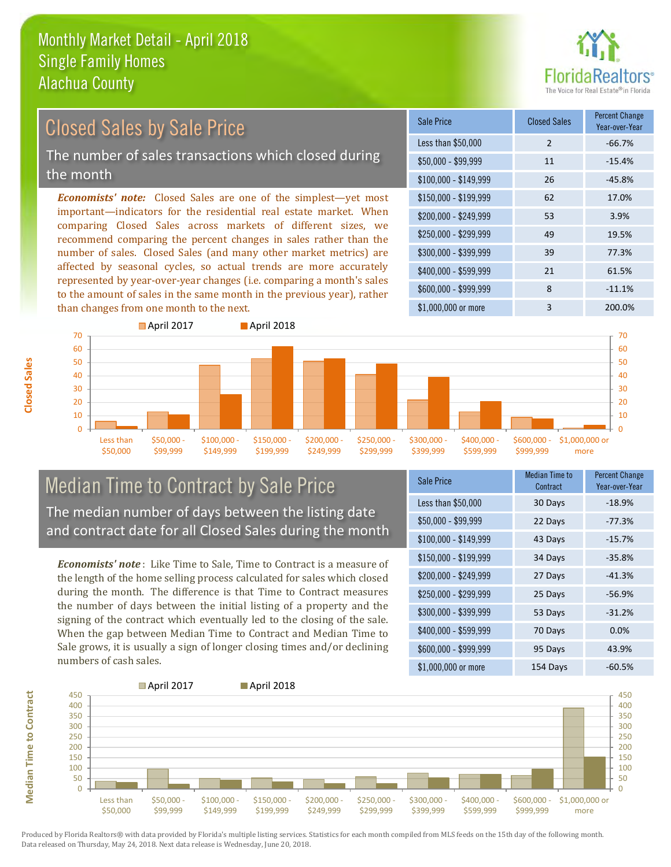

### Closed Sales by Sale Price

The number of sales transactions which closed during the month

*Economists' note:* Closed Sales are one of the simplest—yet most important—indicators for the residential real estate market. When comparing Closed Sales across markets of different sizes, we recommend comparing the percent changes in sales rather than the number of sales. Closed Sales (and many other market metrics) are affected by seasonal cycles, so actual trends are more accurately represented by year-over-year changes (i.e. comparing a month's sales to the amount of sales in the same month in the previous year), rather than changes from one month to the next.

| Sale Price            | <b>Closed Sales</b> | <b>Percent Change</b><br>Year-over-Year |
|-----------------------|---------------------|-----------------------------------------|
| Less than \$50,000    | 2                   | $-66.7%$                                |
| $$50,000 - $99,999$   | 11                  | $-15.4%$                                |
| $$100,000 - $149,999$ | 26                  | $-45.8%$                                |
| $$150,000 - $199,999$ | 62                  | 17.0%                                   |
| \$200,000 - \$249,999 | 53                  | 3.9%                                    |
| \$250,000 - \$299,999 | 49                  | 19.5%                                   |
| \$300,000 - \$399,999 | 39                  | 77.3%                                   |
| \$400,000 - \$599,999 | 21                  | 61.5%                                   |
| \$600,000 - \$999,999 | 8                   | $-11.1%$                                |
| \$1,000,000 or more   | 3                   | 200.0%                                  |



#### Median Time to Contract by Sale Price The median number of days between the listing date and contract date for all Closed Sales during the month

*Economists' note* : Like Time to Sale, Time to Contract is a measure of the length of the home selling process calculated for sales which closed during the month. The difference is that Time to Contract measures the number of days between the initial listing of a property and the signing of the contract which eventually led to the closing of the sale. When the gap between Median Time to Contract and Median Time to Sale grows, it is usually a sign of longer closing times and/or declining numbers of cash sales.

| Sale Price            | <b>Median Time to</b><br>Contract | <b>Percent Change</b><br>Year-over-Year |
|-----------------------|-----------------------------------|-----------------------------------------|
| Less than \$50,000    | 30 Days                           | $-18.9%$                                |
| \$50,000 - \$99,999   | 22 Days                           | $-77.3%$                                |
| $$100,000 - $149,999$ | 43 Days                           | $-15.7%$                                |
| $$150,000 - $199,999$ | 34 Days                           | $-35.8%$                                |
| \$200,000 - \$249,999 | 27 Days                           | $-41.3%$                                |
| \$250,000 - \$299,999 | 25 Days                           | $-56.9%$                                |
| \$300,000 - \$399,999 | 53 Days                           | $-31.2%$                                |
| \$400,000 - \$599,999 | 70 Days                           | 0.0%                                    |
| \$600,000 - \$999,999 | 95 Days                           | 43.9%                                   |
| \$1,000,000 or more   | 154 Days                          | $-60.5%$                                |



Produced by Florida Realtors® with data provided by Florida's multiple listing services. Statistics for each month compiled from MLS feeds on the 15th day of the following month. Data released on Thursday, May 24, 2018. Next data release is Wednesday, June 20, 2018.

**Median Time to Contract**

**Median Time to Contract**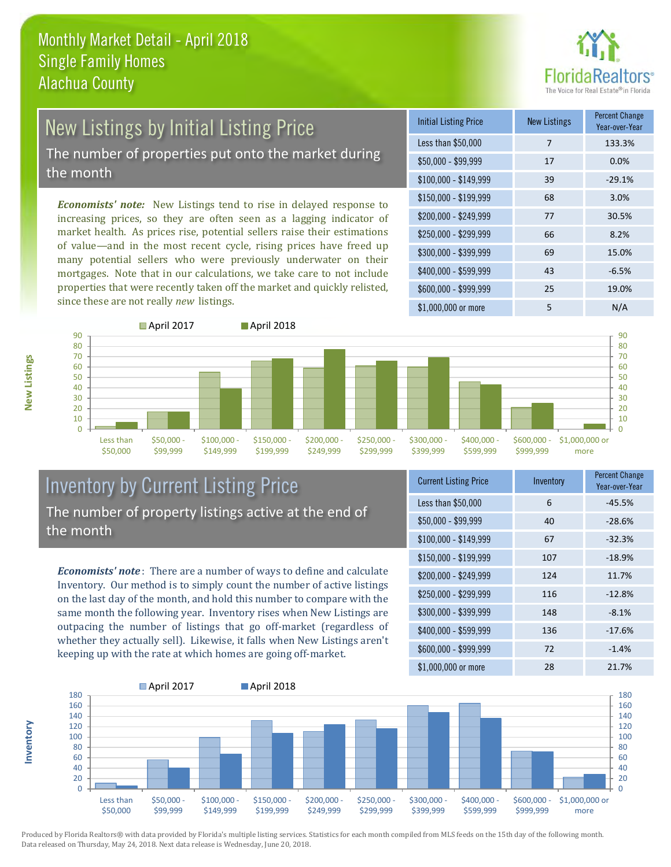

# New Listings by Initial Listing Price

The number of properties put onto the market during the month

*Economists' note:* New Listings tend to rise in delayed response to increasing prices, so they are often seen as a lagging indicator of market health. As prices rise, potential sellers raise their estimations of value—and in the most recent cycle, rising prices have freed up many potential sellers who were previously underwater on their mortgages. Note that in our calculations, we take care to not include properties that were recently taken off the market and quickly relisted, since these are not really *new* listings.





#### Inventory by Current Listing Price The number of property listings active at the end of the month

*Economists' note* : There are a number of ways to define and calculate Inventory. Our method is to simply count the number of active listings on the last day of the month, and hold this number to compare with the same month the following year. Inventory rises when New Listings are outpacing the number of listings that go off-market (regardless of whether they actually sell). Likewise, it falls when New Listings aren't keeping up with the rate at which homes are going off-market.

| <b>Current Listing Price</b> | Inventory | <b>Percent Change</b><br>Year-over-Year |
|------------------------------|-----------|-----------------------------------------|
| Less than \$50,000           | 6         | $-45.5%$                                |
| $$50,000 - $99,999$          | 40        | $-28.6%$                                |
| $$100,000 - $149,999$        | 67        | $-32.3%$                                |
| $$150,000 - $199,999$        | 107       | $-18.9%$                                |
| \$200,000 - \$249,999        | 124       | 11.7%                                   |
| \$250,000 - \$299,999        | 116       | $-12.8%$                                |
| \$300,000 - \$399,999        | 148       | $-8.1%$                                 |
| \$400,000 - \$599,999        | 136       | $-17.6%$                                |
| \$600,000 - \$999,999        | 72        | $-1.4%$                                 |
| \$1,000,000 or more          | 28        | 21.7%                                   |



Produced by Florida Realtors® with data provided by Florida's multiple listing services. Statistics for each month compiled from MLS feeds on the 15th day of the following month. Data released on Thursday, May 24, 2018. Next data release is Wednesday, June 20, 2018.

**Inventory**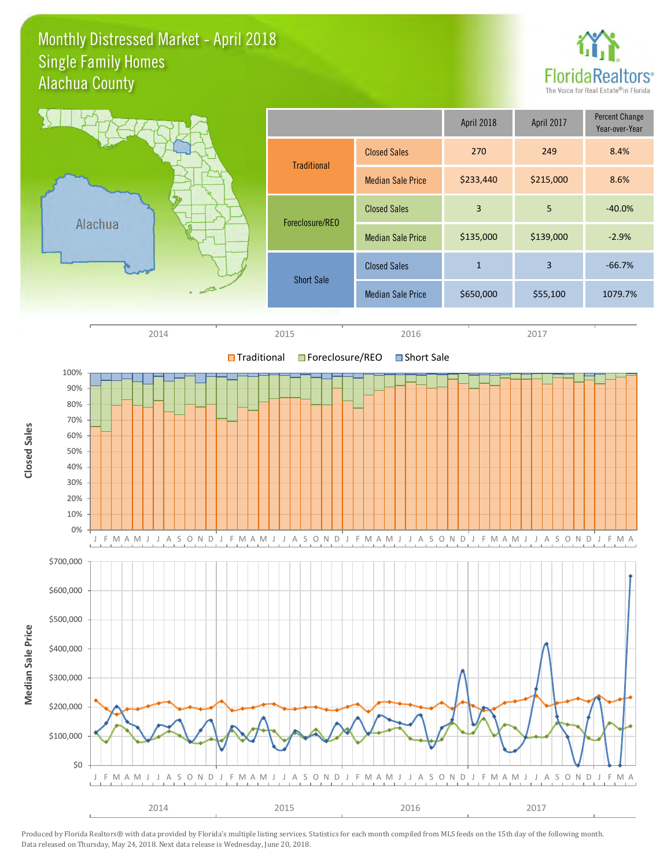#### Monthly Distressed Market - April 2018 Alachua County Single Family Homes



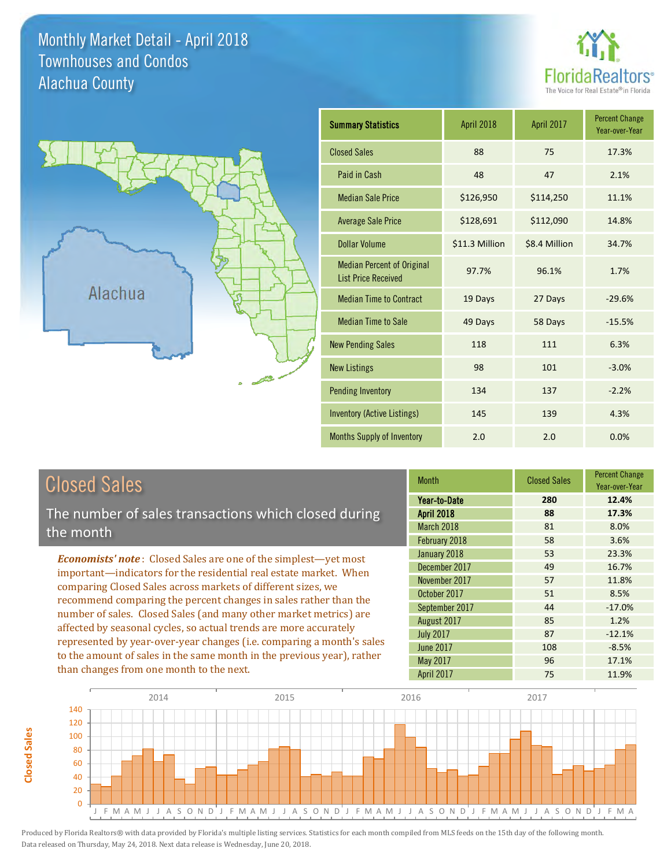#### Monthly Market Detail - April 2018 Alachua County Townhouses and Condos





| <b>Summary Statistics</b>                                       | April 2018     | April 2017    | <b>Percent Change</b><br>Year-over-Year |
|-----------------------------------------------------------------|----------------|---------------|-----------------------------------------|
| <b>Closed Sales</b>                                             | 88             | 75            | 17.3%                                   |
| Paid in Cash                                                    | 48             | 47            | 2.1%                                    |
| <b>Median Sale Price</b>                                        | \$126,950      | \$114,250     | 11.1%                                   |
| <b>Average Sale Price</b>                                       | \$128,691      | \$112,090     | 14.8%                                   |
| <b>Dollar Volume</b>                                            | \$11.3 Million | \$8.4 Million | 34.7%                                   |
| <b>Median Percent of Original</b><br><b>List Price Received</b> | 97.7%          | 96.1%         | 1.7%                                    |
| <b>Median Time to Contract</b>                                  | 19 Days        | 27 Days       | $-29.6%$                                |
| <b>Median Time to Sale</b>                                      | 49 Days        | 58 Days       | $-15.5%$                                |
| <b>New Pending Sales</b>                                        | 118            | 111           | 6.3%                                    |
| <b>New Listings</b>                                             | 98             | 101           | $-3.0%$                                 |
| Pending Inventory                                               | 134            | 137           | $-2.2%$                                 |
| Inventory (Active Listings)                                     | 145            | 139           | 4.3%                                    |
| Months Supply of Inventory                                      | 2.0            | 2.0           | 0.0%                                    |

| <b>Closed Sales</b>                                                    |             |
|------------------------------------------------------------------------|-------------|
| The number of sales transactions which closed during                   | Yea<br>Apri |
| the month                                                              | Mar<br>Feb  |
| <b>Economists' note:</b> Closed Sales are one of the simplest—yet most | Jani        |
| important—indicators for the residential real estate market. When      |             |
| comparing Closed Sales across markets of different sizes, we           | <b>Nov</b>  |

comparing Closed Sales across markets of different sizes, we recommend comparing the percent changes in sales rather than the number of sales. Closed Sales (and many other market metrics) are affected by seasonal cycles, so actual trends are more accurately represented by year-over-year changes (i.e. comparing a month's sales to the amount of sales in the same month in the previous year), rather than changes from one month to the next.

| <b>Month</b>      | <b>Closed Sales</b> | <b>Percent Change</b><br>Year-over-Year |
|-------------------|---------------------|-----------------------------------------|
| Year-to-Date      | 280                 | 12.4%                                   |
| <b>April 2018</b> | 88                  | 17.3%                                   |
| March 2018        | 81                  | 8.0%                                    |
| February 2018     | 58                  | 3.6%                                    |
| January 2018      | 53                  | 23.3%                                   |
| December 2017     | 49                  | 16.7%                                   |
| November 2017     | 57                  | 11.8%                                   |
| October 2017      | 51                  | 8.5%                                    |
| September 2017    | 44                  | $-17.0%$                                |
| August 2017       | 85                  | 1.2%                                    |
| <b>July 2017</b>  | 87                  | $-12.1%$                                |
| <b>June 2017</b>  | 108                 | $-8.5%$                                 |
| <b>May 2017</b>   | 96                  | 17.1%                                   |
| <b>April 2017</b> | 75                  | 11.9%                                   |



**Closed Sales**

**Closed Sales**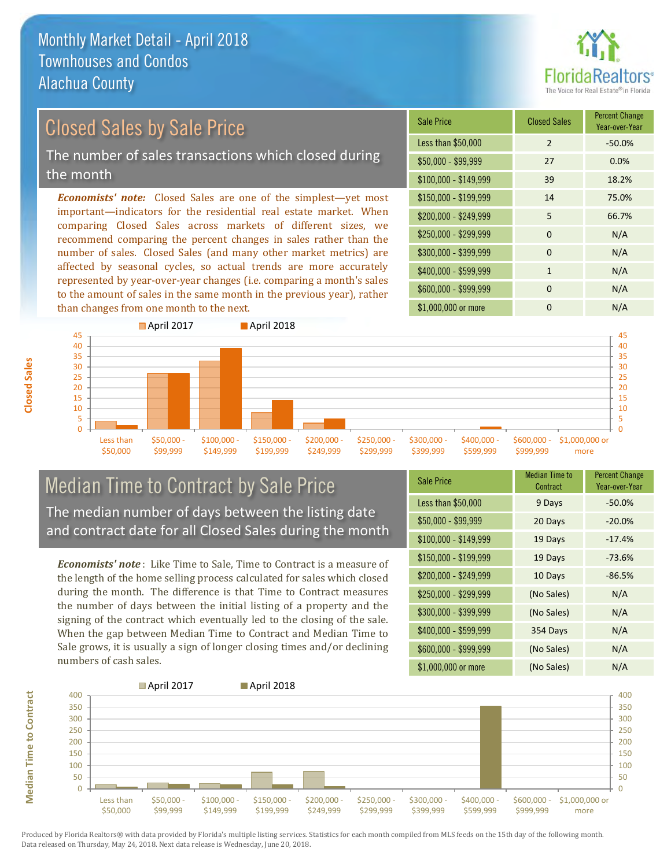

#### \$100,000 - \$149,999 39 18.2% Sale Price Closed Sales Percent Change Year-over-Year Less than \$50,000 2 -50.0% \$50,000 - \$99,999 27 0.0% \$150,000 - \$199,999 14 75.0% \$200,000 - \$249,999 5 66.7% *Economists' note:* Closed Sales are one of the simplest—yet most important—indicators for the residential real estate market. When comparing Closed Sales across markets of different sizes, we recommend comparing the percent changes in sales rather than the  $$250,000 - $299,999$  0 N/A  $$300,000 - $399,999$  0 N/A Closed Sales by Sale Price The number of sales transactions which closed during the month

number of sales. Closed Sales (and many other market metrics) are affected by seasonal cycles, so actual trends are more accurately represented by year-over-year changes (i.e. comparing a month's sales to the amount of sales in the same month in the previous year), rather than changes from one month to the next.



\$299,999

\$399,999

\$599,999

\$249,999

#### Median Time to Contract by Sale Price The median number of days between the listing date and contract date for all Closed Sales during the month

\$149,999

\$199,999

*Economists' note* : Like Time to Sale, Time to Contract is a measure of the length of the home selling process calculated for sales which closed during the month. The difference is that Time to Contract measures the number of days between the initial listing of a property and the signing of the contract which eventually led to the closing of the sale. When the gap between Median Time to Contract and Median Time to Sale grows, it is usually a sign of longer closing times and/or declining numbers of cash sales.

| <b>Sale Price</b>     | <b>Median Time to</b><br>Contract | <b>Percent Change</b><br>Year-over-Year |
|-----------------------|-----------------------------------|-----------------------------------------|
| Less than \$50,000    | 9 Days                            | $-50.0%$                                |
| $$50,000 - $99,999$   | 20 Days                           | $-20.0%$                                |
| $$100,000 - $149,999$ | 19 Days                           | $-17.4%$                                |
| \$150,000 - \$199,999 | 19 Days                           | $-73.6%$                                |
| \$200,000 - \$249,999 | 10 Days                           | $-86.5%$                                |
| \$250,000 - \$299,999 | (No Sales)                        | N/A                                     |
| \$300,000 - \$399,999 | (No Sales)                        | N/A                                     |
| \$400,000 - \$599,999 | 354 Days                          | N/A                                     |
| \$600,000 - \$999,999 | (No Sales)                        | N/A                                     |
| \$1,000,000 or more   | (No Sales)                        | N/A                                     |

\$999,999

more

\$400,000 - \$599,999 1 1 N/A



Produced by Florida Realtors® with data provided by Florida's multiple listing services. Statistics for each month compiled from MLS feeds on the 15th day of the following month. Data released on Thursday, May 24, 2018. Next data release is Wednesday, June 20, 2018.

\$50,000

\$99,999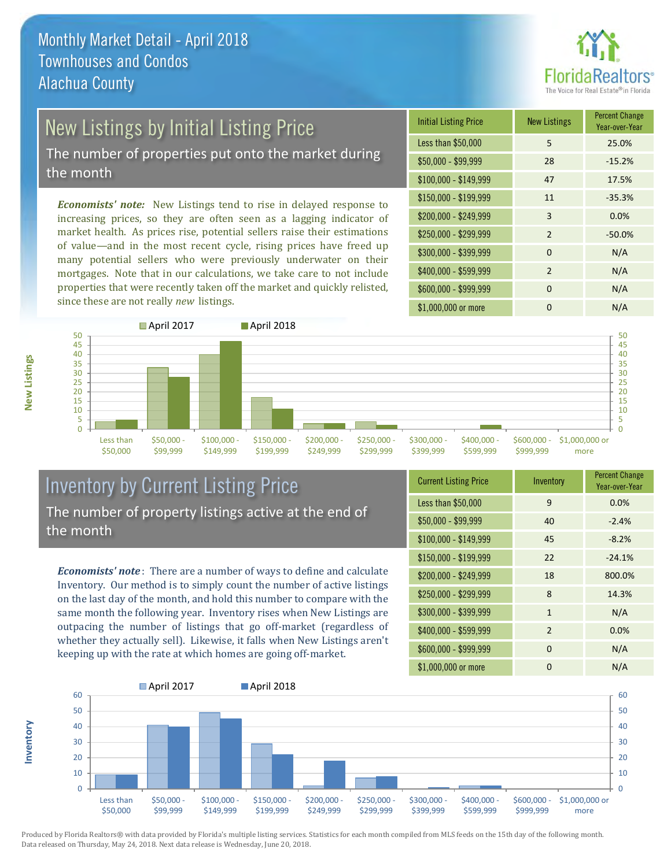

## New Listings by Initial Listing Price

The number of properties put onto the market during the month

*Economists' note:* New Listings tend to rise in delayed response to increasing prices, so they are often seen as a lagging indicator of market health. As prices rise, potential sellers raise their estimations of value—and in the most recent cycle, rising prices have freed up many potential sellers who were previously underwater on their mortgages. Note that in our calculations, we take care to not include properties that were recently taken off the market and quickly relisted, since these are not really *new* listings.

| <b>Initial Listing Price</b> | <b>New Listings</b> | <b>Percent Change</b><br>Year-over-Year |
|------------------------------|---------------------|-----------------------------------------|
| Less than \$50,000           | 5                   | 25.0%                                   |
| $$50,000 - $99,999$          | 28                  | $-15.2%$                                |
| $$100,000 - $149,999$        | 47                  | 17.5%                                   |
| $$150,000 - $199,999$        | 11                  | $-35.3%$                                |
| \$200,000 - \$249,999        | 3                   | 0.0%                                    |
| \$250,000 - \$299,999        | $\mathfrak{D}$      | $-50.0%$                                |
| \$300,000 - \$399,999        | $\Omega$            | N/A                                     |
| \$400,000 - \$599,999        | 2                   | N/A                                     |
| \$600,000 - \$999,999        | $\Omega$            | N/A                                     |
| \$1,000,000 or more          | O                   | N/A                                     |



### Inventory by Current Listing Price The number of property listings active at the end of the month

*Economists' note* : There are a number of ways to define and calculate Inventory. Our method is to simply count the number of active listings on the last day of the month, and hold this number to compare with the same month the following year. Inventory rises when New Listings are outpacing the number of listings that go off-market (regardless of whether they actually sell). Likewise, it falls when New Listings aren't keeping up with the rate at which homes are going off-market.

**Inventory**

**New Listings**

| <b>Current Listing Price</b> | Inventory      | <b>Percent Change</b><br>Year-over-Year |
|------------------------------|----------------|-----------------------------------------|
| Less than \$50,000           | 9              | 0.0%                                    |
| $$50,000 - $99,999$          | 40             | $-2.4%$                                 |
| $$100,000 - $149,999$        | 45             | $-8.2%$                                 |
| $$150,000 - $199,999$        | 22             | $-24.1%$                                |
| \$200,000 - \$249,999        | 18             | 800.0%                                  |
| \$250,000 - \$299,999        | 8              | 14.3%                                   |
| \$300,000 - \$399,999        | $\mathbf{1}$   | N/A                                     |
| \$400,000 - \$599,999        | $\overline{2}$ | 0.0%                                    |
| \$600,000 - \$999,999        | 0              | N/A                                     |
| \$1,000,000 or more          | 0              | N/A                                     |

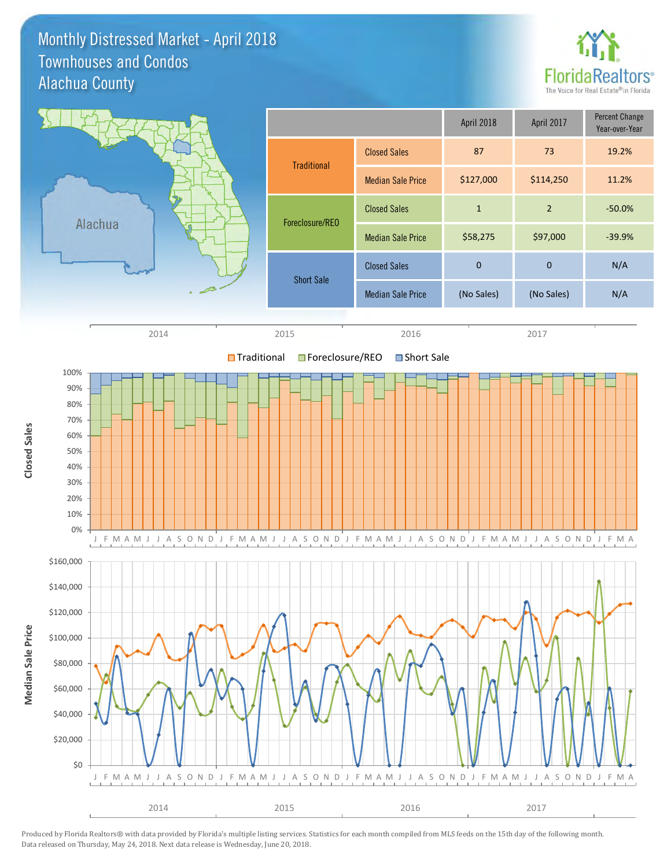#### Monthly Distressed Market - April 2018 Alachua County Townhouses and Condos



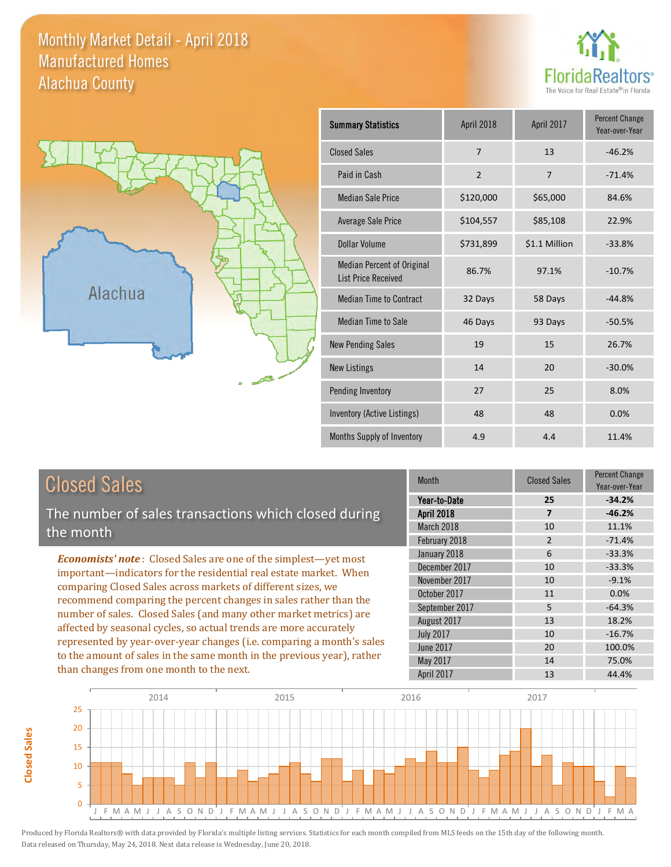#### Monthly Market Detail - April 2018 Alachua County Manufactured Homes





| <b>Summary Statistics</b>                                       | April 2018     | April 2017     | <b>Percent Change</b><br>Year-over-Year |
|-----------------------------------------------------------------|----------------|----------------|-----------------------------------------|
| <b>Closed Sales</b>                                             | 7              | 13             | $-46.2%$                                |
| Paid in Cash                                                    | $\overline{2}$ | $\overline{7}$ | $-71.4%$                                |
| <b>Median Sale Price</b>                                        | \$120,000      | \$65,000       | 84.6%                                   |
| <b>Average Sale Price</b>                                       | \$104,557      | \$85,108       | 22.9%                                   |
| Dollar Volume                                                   | \$731,899      | \$1.1 Million  | $-33.8%$                                |
| <b>Median Percent of Original</b><br><b>List Price Received</b> | 86.7%          | 97.1%          | $-10.7%$                                |
| <b>Median Time to Contract</b>                                  | 32 Days        | 58 Days        | $-44.8%$                                |
| <b>Median Time to Sale</b>                                      | 46 Days        | 93 Days        | $-50.5%$                                |
| <b>New Pending Sales</b>                                        | 19             | 15             | 26.7%                                   |
| <b>New Listings</b>                                             | 14             | 20             | $-30.0%$                                |
| Pending Inventory                                               | 27             | 25             | 8.0%                                    |
| Inventory (Active Listings)                                     | 48             | 48             | 0.0%                                    |
| Months Supply of Inventory                                      | 4.9            | 4.4            | 11.4%                                   |

### Closed Sales

The number of sales transactions which closed during the month

*Economists' note* : Closed Sales are one of the simplest—yet most important—indicators for the residential real estate market. When comparing Closed Sales across markets of different sizes, we recommend comparing the percent changes in sales rather than the number of sales. Closed Sales (and many other market metrics) are affected by seasonal cycles, so actual trends are more accurately represented by year-over-year changes (i.e. comparing a month's sales to the amount of sales in the same month in the previous year), rather than changes from one month to the next.

| Month             | <b>Closed Sales</b> | <b>Percent Change</b><br>Year-over-Year |
|-------------------|---------------------|-----------------------------------------|
| Year-to-Date      | 25                  | $-34.2%$                                |
| <b>April 2018</b> | 7                   | $-46.2%$                                |
| March 2018        | 10                  | 11.1%                                   |
| February 2018     | $\overline{2}$      | $-71.4%$                                |
| January 2018      | 6                   | $-33.3%$                                |
| December 2017     | 10                  | $-33.3%$                                |
| November 2017     | 10                  | $-9.1%$                                 |
| October 2017      | 11                  | 0.0%                                    |
| September 2017    | 5                   | $-64.3%$                                |
| August 2017       | 13                  | 18.2%                                   |
| <b>July 2017</b>  | 10                  | $-16.7%$                                |
| <b>June 2017</b>  | 20                  | 100.0%                                  |
| <b>May 2017</b>   | 14                  | 75.0%                                   |
| April 2017        | 13                  | 44.4%                                   |

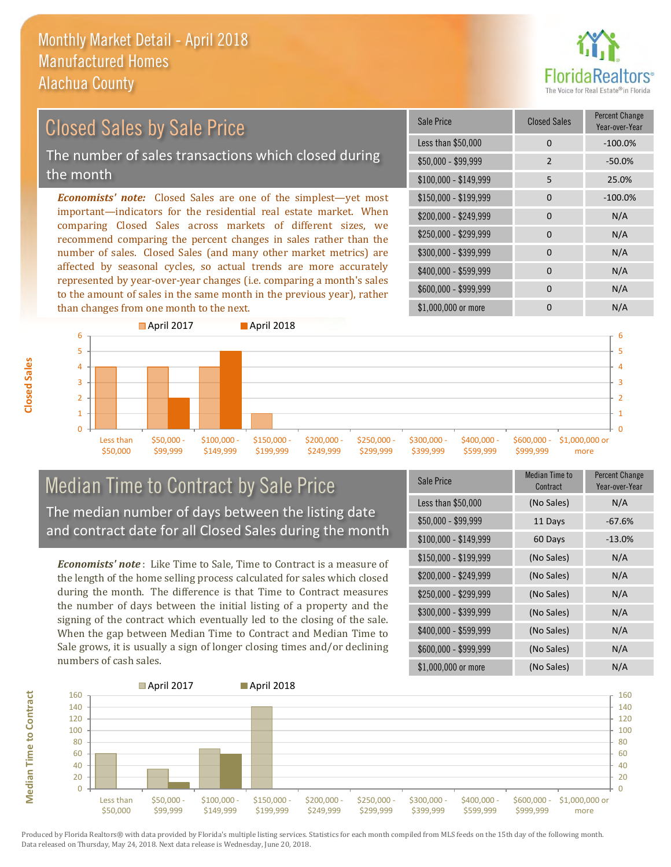

### *Economists' note:* Closed Sales are one of the simplest—yet most important—indicators for the residential real estate market. When Closed Sales by Sale Price The number of sales transactions which closed during the month

comparing Closed Sales across markets of different sizes, we recommend comparing the percent changes in sales rather than the number of sales. Closed Sales (and many other market metrics) are affected by seasonal cycles, so actual trends are more accurately represented by year-over-year changes (i.e. comparing a month's sales to the amount of sales in the same month in the previous year), rather than changes from one month to the next.





#### Median Time to Contract by Sale Price The median number of days between the listing date and contract date for all Closed Sales during the month

*Economists' note* : Like Time to Sale, Time to Contract is a measure of the length of the home selling process calculated for sales which closed during the month. The difference is that Time to Contract measures the number of days between the initial listing of a property and the signing of the contract which eventually led to the closing of the sale. When the gap between Median Time to Contract and Median Time to Sale grows, it is usually a sign of longer closing times and/or declining numbers of cash sales.

| <b>Sale Price</b>     | <b>Median Time to</b><br>Contract | <b>Percent Change</b><br>Year-over-Year |
|-----------------------|-----------------------------------|-----------------------------------------|
| Less than \$50,000    | (No Sales)                        | N/A                                     |
| \$50,000 - \$99,999   | 11 Days                           | $-67.6%$                                |
| $$100,000 - $149,999$ | 60 Days                           | $-13.0%$                                |
| \$150,000 - \$199,999 | (No Sales)                        | N/A                                     |
| \$200,000 - \$249,999 | (No Sales)                        | N/A                                     |
| \$250,000 - \$299,999 | (No Sales)                        | N/A                                     |
| \$300,000 - \$399,999 | (No Sales)                        | N/A                                     |
| \$400,000 - \$599,999 | (No Sales)                        | N/A                                     |
| \$600,000 - \$999,999 | (No Sales)                        | N/A                                     |
| \$1,000,000 or more   | (No Sales)                        | N/A                                     |



Produced by Florida Realtors® with data provided by Florida's multiple listing services. Statistics for each month compiled from MLS feeds on the 15th day of the following month. Data released on Thursday, May 24, 2018. Next data release is Wednesday, June 20, 2018.

**Median Time to Contract**

**Median Time to Contract**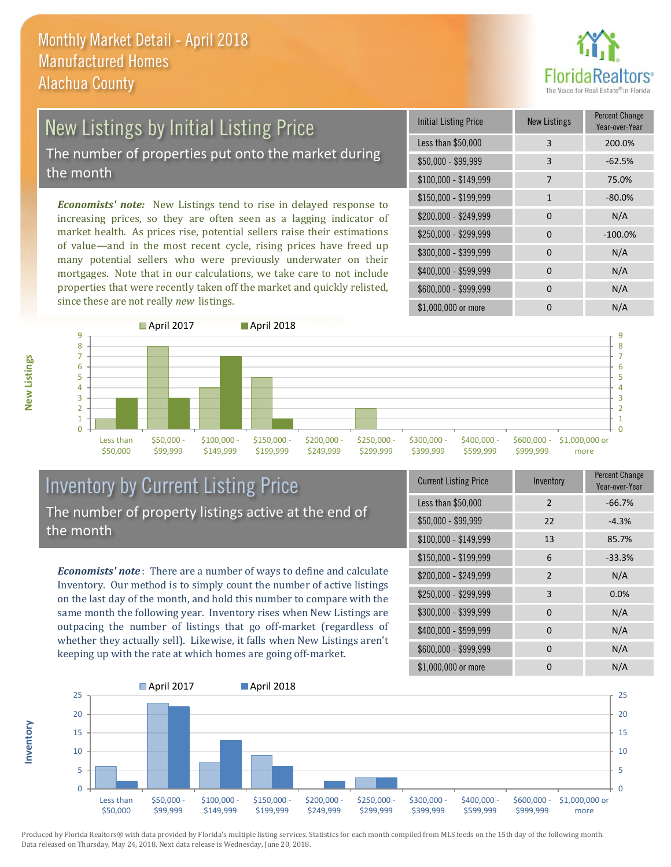

# New Listings by Initial Listing Price

The number of properties put onto the market during the month

*Economists' note:* New Listings tend to rise in delayed response to increasing prices, so they are often seen as a lagging indicator of market health. As prices rise, potential sellers raise their estimations of value—and in the most recent cycle, rising prices have freed up many potential sellers who were previously underwater on their mortgages. Note that in our calculations, we take care to not include properties that were recently taken off the market and quickly relisted, since these are not really *new* listings.

| <b>Initial Listing Price</b> | <b>New Listings</b> | <b>Percent Change</b><br>Year-over-Year |
|------------------------------|---------------------|-----------------------------------------|
| Less than \$50,000           | 3                   | 200.0%                                  |
| $$50,000 - $99,999$          | 3                   | $-62.5%$                                |
| $$100,000 - $149,999$        | 7                   | 75.0%                                   |
| \$150,000 - \$199,999        | $\mathbf{1}$        | $-80.0%$                                |
| \$200,000 - \$249,999        | $\Omega$            | N/A                                     |
| \$250,000 - \$299,999        | $\Omega$            | $-100.0%$                               |
| \$300,000 - \$399,999        | 0                   | N/A                                     |
| \$400,000 - \$599,999        | $\Omega$            | N/A                                     |
| \$600,000 - \$999,999        | O                   | N/A                                     |
| \$1,000,000 or more          |                     | N/A                                     |



#### Inventory by Current Listing Price The number of property listings active at the end of the month

*Economists' note* : There are a number of ways to define and calculate Inventory. Our method is to simply count the number of active listings on the last day of the month, and hold this number to compare with the same month the following year. Inventory rises when New Listings are outpacing the number of listings that go off-market (regardless of whether they actually sell). Likewise, it falls when New Listings aren't keeping up with the rate at which homes are going off-market.

| <b>Current Listing Price</b> | Inventory      | Percent Change<br>Year-over-Year |
|------------------------------|----------------|----------------------------------|
| Less than \$50,000           | $\overline{2}$ | $-66.7%$                         |
| $$50,000 - $99,999$          | 22             | $-4.3%$                          |
| $$100,000 - $149,999$        | 13             | 85.7%                            |
| $$150,000 - $199,999$        | 6              | $-33.3%$                         |
| \$200,000 - \$249,999        | $\overline{2}$ | N/A                              |
| \$250,000 - \$299,999        | 3              | 0.0%                             |
| \$300,000 - \$399,999        | 0              | N/A                              |
| \$400,000 - \$599,999        | 0              | N/A                              |
| \$600,000 - \$999,999        | 0              | N/A                              |
| \$1,000,000 or more          | 0              | N/A                              |



Produced by Florida Realtors® with data provided by Florida's multiple listing services. Statistics for each month compiled from MLS feeds on the 15th day of the following month. Data released on Thursday, May 24, 2018. Next data release is Wednesday, June 20, 2018.

**Inventory**